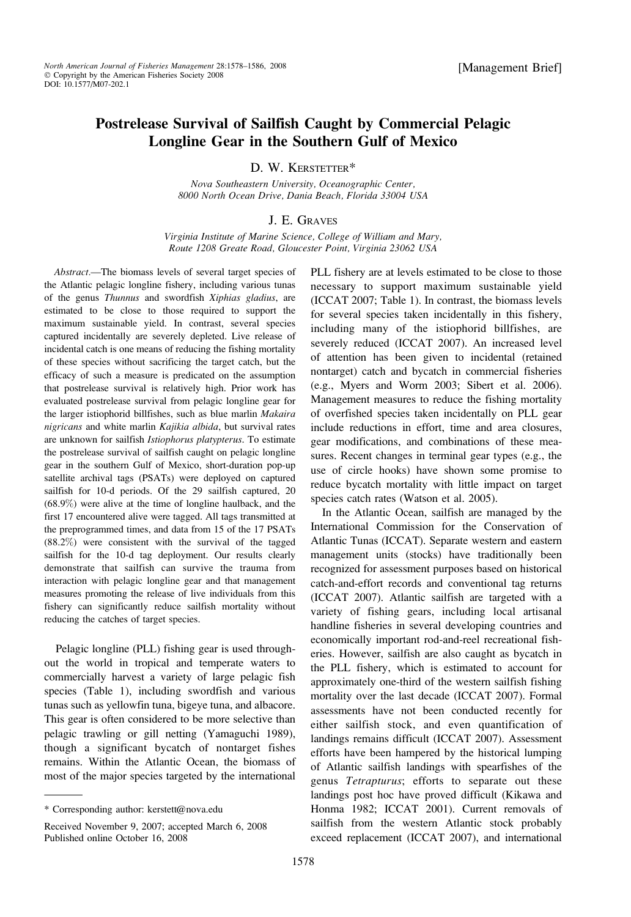[Management Brief]

# Postrelease Survival of Sailfish Caught by Commercial Pelagic Longline Gear in the Southern Gulf of Mexico

D. W. KERSTETTER\*

Nova Southeastern University, Oceanographic Center, 8000 North Ocean Drive, Dania Beach, Florida 33004 USA

## J. E. GRAVES

Virginia Institute of Marine Science, College of William and Mary, Route 1208 Greate Road, Gloucester Point, Virginia 23062 USA

Abstract.—The biomass levels of several target species of the Atlantic pelagic longline fishery, including various tunas of the genus Thunnus and swordfish Xiphias gladius, are estimated to be close to those required to support the maximum sustainable yield. In contrast, several species captured incidentally are severely depleted. Live release of incidental catch is one means of reducing the fishing mortality of these species without sacrificing the target catch, but the efficacy of such a measure is predicated on the assumption that postrelease survival is relatively high. Prior work has evaluated postrelease survival from pelagic longline gear for the larger istiophorid billfishes, such as blue marlin Makaira nigricans and white marlin Kajikia albida, but survival rates are unknown for sailfish Istiophorus platypterus. To estimate the postrelease survival of sailfish caught on pelagic longline gear in the southern Gulf of Mexico, short-duration pop-up satellite archival tags (PSATs) were deployed on captured sailfish for 10-d periods. Of the 29 sailfish captured, 20 (68.9%) were alive at the time of longline haulback, and the first 17 encountered alive were tagged. All tags transmitted at the preprogrammed times, and data from 15 of the 17 PSATs (88.2%) were consistent with the survival of the tagged sailfish for the 10-d tag deployment. Our results clearly demonstrate that sailfish can survive the trauma from interaction with pelagic longline gear and that management measures promoting the release of live individuals from this fishery can significantly reduce sailfish mortality without reducing the catches of target species.

Pelagic longline (PLL) fishing gear is used throughout the world in tropical and temperate waters to commercially harvest a variety of large pelagic fish species (Table 1), including swordfish and various tunas such as yellowfin tuna, bigeye tuna, and albacore. This gear is often considered to be more selective than pelagic trawling or gill netting (Yamaguchi 1989), though a significant bycatch of nontarget fishes remains. Within the Atlantic Ocean, the biomass of most of the major species targeted by the international

PLL fishery are at levels estimated to be close to those necessary to support maximum sustainable yield (ICCAT 2007; Table 1). In contrast, the biomass levels for several species taken incidentally in this fishery, including many of the istiophorid billfishes, are severely reduced (ICCAT 2007). An increased level of attention has been given to incidental (retained nontarget) catch and bycatch in commercial fisheries (e.g., Myers and Worm 2003; Sibert et al. 2006). Management measures to reduce the fishing mortality of overfished species taken incidentally on PLL gear include reductions in effort, time and area closures, gear modifications, and combinations of these measures. Recent changes in terminal gear types (e.g., the use of circle hooks) have shown some promise to reduce bycatch mortality with little impact on target species catch rates (Watson et al. 2005).

In the Atlantic Ocean, sailfish are managed by the International Commission for the Conservation of Atlantic Tunas (ICCAT). Separate western and eastern management units (stocks) have traditionally been recognized for assessment purposes based on historical catch-and-effort records and conventional tag returns (ICCAT 2007). Atlantic sailfish are targeted with a variety of fishing gears, including local artisanal handline fisheries in several developing countries and economically important rod-and-reel recreational fisheries. However, sailfish are also caught as bycatch in the PLL fishery, which is estimated to account for approximately one-third of the western sailfish fishing mortality over the last decade (ICCAT 2007). Formal assessments have not been conducted recently for either sailfish stock, and even quantification of landings remains difficult (ICCAT 2007). Assessment efforts have been hampered by the historical lumping of Atlantic sailfish landings with spearfishes of the genus Tetrapturus; efforts to separate out these landings post hoc have proved difficult (Kikawa and Honma 1982; ICCAT 2001). Current removals of sailfish from the western Atlantic stock probably exceed replacement (ICCAT 2007), and international

<sup>\*</sup> Corresponding author: kerstett@nova.edu

Received November 9, 2007; accepted March 6, 2008 Published online October 16, 2008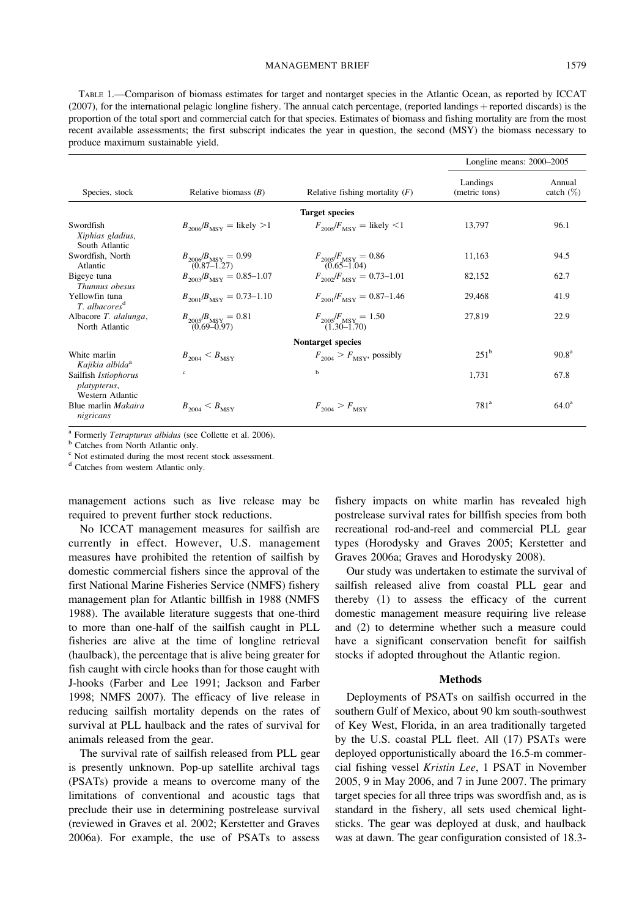#### MANAGEMENT BRIEF 1579

TABLE 1.—Comparison of biomass estimates for target and nontarget species in the Atlantic Ocean, as reported by ICCAT (2007), for the international pelagic longline fishery. The annual catch percentage, (reported landings + reported discards) is the proportion of the total sport and commercial catch for that species. Estimates of biomass and fishing mortality are from the most recent available assessments; the first subscript indicates the year in question, the second (MSY) the biomass necessary to produce maximum sustainable yield.

|                                                                 |                                                      |                                                     | Longline means: 2000-2005 |                        |
|-----------------------------------------------------------------|------------------------------------------------------|-----------------------------------------------------|---------------------------|------------------------|
| Species, stock                                                  | Relative biomass $(B)$                               | Relative fishing mortality $(F)$                    | Landings<br>(metric tons) | Annual<br>catch $(\%)$ |
|                                                                 |                                                      | <b>Target species</b>                               |                           |                        |
| Swordfish<br>Xiphias gladius,<br>South Atlantic                 | $B_{2006}/B_{\text{MSV}} =$ likely $>1$              | $F_{2005}/F_{\text{MSV}} =$ likely <1               | 13,797                    | 96.1                   |
| Swordfish, North<br>Atlantic                                    | $B_{200}$ $B_{\text{MSV}} = 0.99$<br>$(0.87 - 1.27)$ | $F_{2005}/F_{\text{MSY}} = 0.86$<br>$(0.65 - 1.04)$ | 11,163                    | 94.5                   |
| Bigeye tuna<br>Thunnus obesus                                   | $B_{2003}/B_{\text{MSY}} = 0.85 - 1.07$              | $F_{2002}/F_{\text{MSY}} = 0.73 - 1.01$             | 82,152                    | 62.7                   |
| Yellowfin tuna<br>T. albacores <sup>d</sup>                     | $B_{2001}/B_{\text{MSV}} = 0.73{\text -}1.10$        | $F_{200}$ / $F_{\text{MSV}} = 0.87 - 1.46$          | 29,468                    | 41.9                   |
| Albacore T. alalunga,<br>North Atlantic                         | $B_{2005}/B_{\text{MSV}} = 0.81$<br>$(0.69 - 0.97)$  | $F_{2005}/F_{\text{MSY}} = 1.50$<br>$(1.30 - 1.70)$ | 27,819                    | 22.9                   |
|                                                                 |                                                      | Nontarget species                                   |                           |                        |
| White marlin<br>Kajikia albida <sup>a</sup>                     | $B_{2004} < B_{\text{MSY}}$                          | $F_{2004}$ > $F_{\text{MSY}}$ , possibly            | 251 <sup>b</sup>          | 90.8 <sup>a</sup>      |
| Sailfish Istiophorus<br><i>platypterus,</i><br>Western Atlantic | $\mathbf{c}$                                         | b                                                   | 1,731                     | 67.8                   |
| Blue marlin Makaira<br>nigricans                                | $B_{2004} < B_{\text{MSY}}$                          | $F_{2004} > F_{\text{MSY}}$                         | 781 <sup>a</sup>          | $64.0^{\rm a}$         |

<sup>a</sup> Formerly *Tetrapturus albidus* (see Collette et al. 2006). **b** Catches from North Atlantic only.

<sup>c</sup> Not estimated during the most recent stock assessment.

<sup>d</sup> Catches from western Atlantic only.

management actions such as live release may be required to prevent further stock reductions.

No ICCAT management measures for sailfish are currently in effect. However, U.S. management measures have prohibited the retention of sailfish by domestic commercial fishers since the approval of the first National Marine Fisheries Service (NMFS) fishery management plan for Atlantic billfish in 1988 (NMFS 1988). The available literature suggests that one-third to more than one-half of the sailfish caught in PLL fisheries are alive at the time of longline retrieval (haulback), the percentage that is alive being greater for fish caught with circle hooks than for those caught with J-hooks (Farber and Lee 1991; Jackson and Farber 1998; NMFS 2007). The efficacy of live release in reducing sailfish mortality depends on the rates of survival at PLL haulback and the rates of survival for animals released from the gear.

The survival rate of sailfish released from PLL gear is presently unknown. Pop-up satellite archival tags (PSATs) provide a means to overcome many of the limitations of conventional and acoustic tags that preclude their use in determining postrelease survival (reviewed in Graves et al. 2002; Kerstetter and Graves 2006a). For example, the use of PSATs to assess fishery impacts on white marlin has revealed high postrelease survival rates for billfish species from both recreational rod-and-reel and commercial PLL gear types (Horodysky and Graves 2005; Kerstetter and Graves 2006a; Graves and Horodysky 2008).

Our study was undertaken to estimate the survival of sailfish released alive from coastal PLL gear and thereby (1) to assess the efficacy of the current domestic management measure requiring live release and (2) to determine whether such a measure could have a significant conservation benefit for sailfish stocks if adopted throughout the Atlantic region.

#### Methods

Deployments of PSATs on sailfish occurred in the southern Gulf of Mexico, about 90 km south-southwest of Key West, Florida, in an area traditionally targeted by the U.S. coastal PLL fleet. All (17) PSATs were deployed opportunistically aboard the 16.5-m commercial fishing vessel Kristin Lee, 1 PSAT in November 2005, 9 in May 2006, and 7 in June 2007. The primary target species for all three trips was swordfish and, as is standard in the fishery, all sets used chemical lightsticks. The gear was deployed at dusk, and haulback was at dawn. The gear configuration consisted of 18.3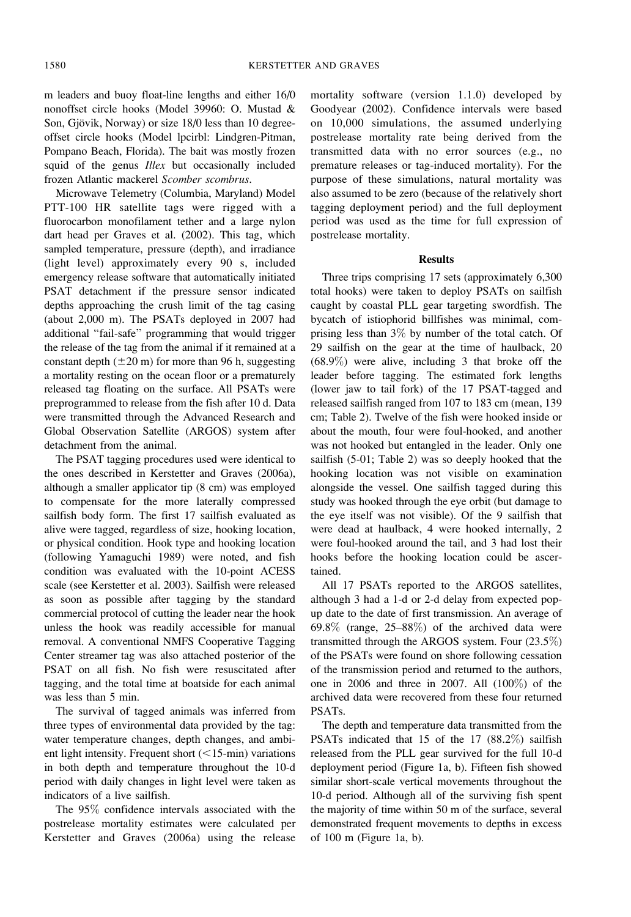m leaders and buoy float-line lengths and either 16/0 nonoffset circle hooks (Model 39960: O. Mustad & Son, Gjövik, Norway) or size 18/0 less than 10 degreeoffset circle hooks (Model lpcirbl: Lindgren-Pitman, Pompano Beach, Florida). The bait was mostly frozen squid of the genus *Illex* but occasionally included frozen Atlantic mackerel Scomber scombrus.

Microwave Telemetry (Columbia, Maryland) Model PTT-100 HR satellite tags were rigged with a fluorocarbon monofilament tether and a large nylon dart head per Graves et al. (2002). This tag, which sampled temperature, pressure (depth), and irradiance (light level) approximately every 90 s, included emergency release software that automatically initiated PSAT detachment if the pressure sensor indicated depths approaching the crush limit of the tag casing (about 2,000 m). The PSATs deployed in 2007 had additional ''fail-safe'' programming that would trigger the release of the tag from the animal if it remained at a constant depth  $(\pm 20 \text{ m})$  for more than 96 h, suggesting a mortality resting on the ocean floor or a prematurely released tag floating on the surface. All PSATs were preprogrammed to release from the fish after 10 d. Data were transmitted through the Advanced Research and Global Observation Satellite (ARGOS) system after detachment from the animal.

The PSAT tagging procedures used were identical to the ones described in Kerstetter and Graves (2006a), although a smaller applicator tip (8 cm) was employed to compensate for the more laterally compressed sailfish body form. The first 17 sailfish evaluated as alive were tagged, regardless of size, hooking location, or physical condition. Hook type and hooking location (following Yamaguchi 1989) were noted, and fish condition was evaluated with the 10-point ACESS scale (see Kerstetter et al. 2003). Sailfish were released as soon as possible after tagging by the standard commercial protocol of cutting the leader near the hook unless the hook was readily accessible for manual removal. A conventional NMFS Cooperative Tagging Center streamer tag was also attached posterior of the PSAT on all fish. No fish were resuscitated after tagging, and the total time at boatside for each animal was less than 5 min.

The survival of tagged animals was inferred from three types of environmental data provided by the tag: water temperature changes, depth changes, and ambient light intensity. Frequent short  $(<15$ -min) variations in both depth and temperature throughout the 10-d period with daily changes in light level were taken as indicators of a live sailfish.

The 95% confidence intervals associated with the postrelease mortality estimates were calculated per Kerstetter and Graves (2006a) using the release mortality software (version 1.1.0) developed by Goodyear (2002). Confidence intervals were based on 10,000 simulations, the assumed underlying postrelease mortality rate being derived from the transmitted data with no error sources (e.g., no premature releases or tag-induced mortality). For the purpose of these simulations, natural mortality was also assumed to be zero (because of the relatively short tagging deployment period) and the full deployment period was used as the time for full expression of postrelease mortality.

#### Results

Three trips comprising 17 sets (approximately 6,300 total hooks) were taken to deploy PSATs on sailfish caught by coastal PLL gear targeting swordfish. The bycatch of istiophorid billfishes was minimal, comprising less than 3% by number of the total catch. Of 29 sailfish on the gear at the time of haulback, 20 (68.9%) were alive, including 3 that broke off the leader before tagging. The estimated fork lengths (lower jaw to tail fork) of the 17 PSAT-tagged and released sailfish ranged from 107 to 183 cm (mean, 139 cm; Table 2). Twelve of the fish were hooked inside or about the mouth, four were foul-hooked, and another was not hooked but entangled in the leader. Only one sailfish (5-01; Table 2) was so deeply hooked that the hooking location was not visible on examination alongside the vessel. One sailfish tagged during this study was hooked through the eye orbit (but damage to the eye itself was not visible). Of the 9 sailfish that were dead at haulback, 4 were hooked internally, 2 were foul-hooked around the tail, and 3 had lost their hooks before the hooking location could be ascertained.

All 17 PSATs reported to the ARGOS satellites, although 3 had a 1-d or 2-d delay from expected popup date to the date of first transmission. An average of 69.8% (range, 25–88%) of the archived data were transmitted through the ARGOS system. Four (23.5%) of the PSATs were found on shore following cessation of the transmission period and returned to the authors, one in 2006 and three in 2007. All  $(100\%)$  of the archived data were recovered from these four returned PSATs.

The depth and temperature data transmitted from the PSATs indicated that 15 of the 17 (88.2%) sailfish released from the PLL gear survived for the full 10-d deployment period (Figure 1a, b). Fifteen fish showed similar short-scale vertical movements throughout the 10-d period. Although all of the surviving fish spent the majority of time within 50 m of the surface, several demonstrated frequent movements to depths in excess of 100 m (Figure 1a, b).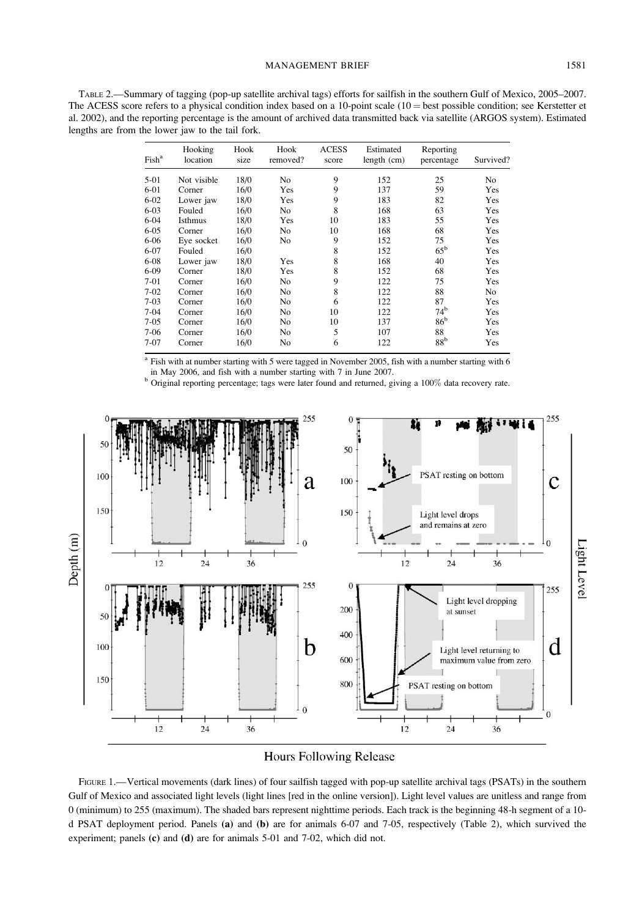### MANAGEMENT BRIEF 1581

TABLE 2.—Summary of tagging (pop-up satellite archival tags) efforts for sailfish in the southern Gulf of Mexico, 2005–2007. The ACESS score refers to a physical condition index based on a 10-point scale  $(10 = \text{best possible condition}; \text{see Kerstetter et})$ al. 2002), and the reporting percentage is the amount of archived data transmitted back via satellite (ARGOS system). Estimated lengths are from the lower jaw to the tail fork.

| Fish <sup>a</sup> | Hooking<br>location | Hook<br>size | Hook<br>removed? | <b>ACESS</b><br>score | Estimated<br>length (cm) | Reporting<br>percentage | Survived? |
|-------------------|---------------------|--------------|------------------|-----------------------|--------------------------|-------------------------|-----------|
| $5-01$            | Not visible         | 18/0         | No               | 9                     | 152                      | 25                      | No        |
| $6 - 01$          | Corner              | 16/0         | Yes              | 9                     | 137                      | 59                      | Yes       |
| $6 - 02$          | Lower jaw           | 18/0         | Yes              | 9                     | 183                      | 82                      | Yes       |
| $6 - 03$          | Fouled              | 16/0         | No               | 8                     | 168                      | 63                      | Yes       |
| $6 - 04$          | Isthmus             | 18/0         | Yes              | 10                    | 183                      | 55                      | Yes       |
| $6 - 05$          | Corner              | 16/0         | No               | 10                    | 168                      | 68                      | Yes       |
| $6 - 06$          | Eye socket          | 16/0         | N <sub>0</sub>   | 9                     | 152                      | 75                      | Yes       |
| $6 - 07$          | Fouled              | 16/0         |                  | 8                     | 152                      | $65^{\rm b}$            | Yes       |
| $6 - 08$          | Lower jaw           | 18/0         | Yes              | 8                     | 168                      | 40                      | Yes       |
| $6-09$            | Corner              | 18/0         | Yes              | 8                     | 152                      | 68                      | Yes       |
| $7 - 01$          | Corner              | 16/0         | No               | 9                     | 122                      | 75                      | Yes       |
| $7 - 02$          | Corner              | 16/0         | No               | 8                     | 122                      | 88                      | No        |
| $7 - 03$          | Corner              | 16/0         | No               | 6                     | 122                      | 87                      | Yes       |
| $7 - 04$          | Corner              | 16/0         | No               | 10                    | 122                      | $74^{\rm b}$            | Yes       |
| $7 - 05$          | Corner              | 16/0         | No               | 10                    | 137                      | 86 <sup>b</sup>         | Yes       |
| $7 - 06$          | Corner              | 16/0         | No               | 5                     | 107                      | 88                      | Yes       |
| $7 - 07$          | Corner              | 16/0         | No               | 6                     | 122                      | 88 <sup>b</sup>         | Yes       |

<sup>a</sup> Fish with at number starting with 5 were tagged in November 2005, fish with a number starting with 6 in May 2006, and fish with a number starting with 7 in June 2007.

<sup>b</sup> Original reporting percentage; tags were later found and returned, giving a 100% data recovery rate.



## Hours Following Release

FIGURE 1.—Vertical movements (dark lines) of four sailfish tagged with pop-up satellite archival tags (PSATs) in the southern Gulf of Mexico and associated light levels (light lines [red in the online version]). Light level values are unitless and range from 0 (minimum) to 255 (maximum). The shaded bars represent nighttime periods. Each track is the beginning 48-h segment of a 10 d PSAT deployment period. Panels (a) and (b) are for animals 6-07 and 7-05, respectively (Table 2), which survived the experiment; panels (c) and (d) are for animals 5-01 and 7-02, which did not.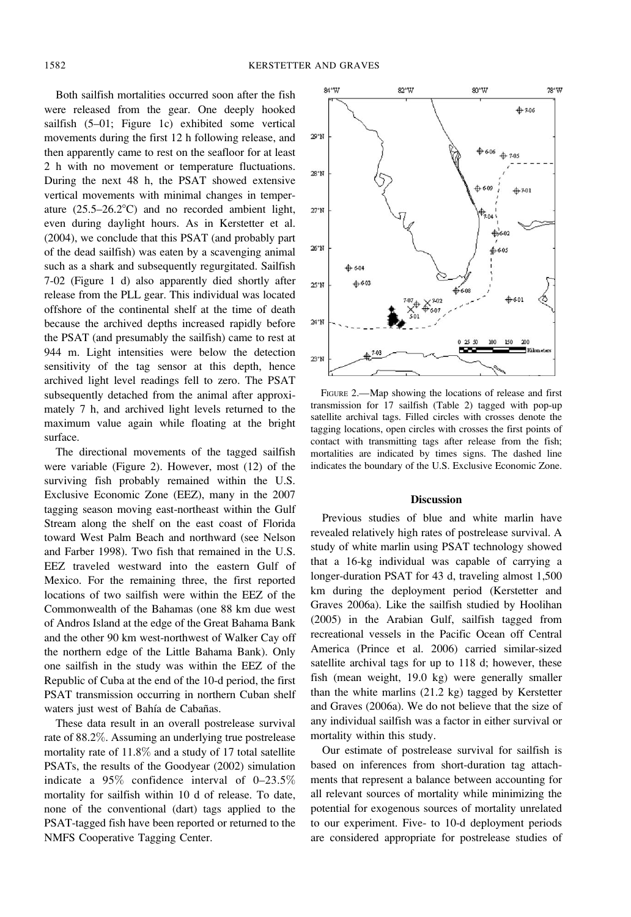Both sailfish mortalities occurred soon after the fish were released from the gear. One deeply hooked sailfish (5–01; Figure 1c) exhibited some vertical movements during the first 12 h following release, and then apparently came to rest on the seafloor for at least 2 h with no movement or temperature fluctuations. During the next 48 h, the PSAT showed extensive vertical movements with minimal changes in temperature  $(25.5-26.2^{\circ}\text{C})$  and no recorded ambient light, even during daylight hours. As in Kerstetter et al. (2004), we conclude that this PSAT (and probably part of the dead sailfish) was eaten by a scavenging animal such as a shark and subsequently regurgitated. Sailfish 7-02 (Figure 1 d) also apparently died shortly after release from the PLL gear. This individual was located offshore of the continental shelf at the time of death because the archived depths increased rapidly before the PSAT (and presumably the sailfish) came to rest at 944 m. Light intensities were below the detection sensitivity of the tag sensor at this depth, hence archived light level readings fell to zero. The PSAT subsequently detached from the animal after approximately 7 h, and archived light levels returned to the maximum value again while floating at the bright surface.

The directional movements of the tagged sailfish were variable (Figure 2). However, most (12) of the surviving fish probably remained within the U.S. Exclusive Economic Zone (EEZ), many in the 2007 tagging season moving east-northeast within the Gulf Stream along the shelf on the east coast of Florida toward West Palm Beach and northward (see Nelson and Farber 1998). Two fish that remained in the U.S. EEZ traveled westward into the eastern Gulf of Mexico. For the remaining three, the first reported locations of two sailfish were within the EEZ of the Commonwealth of the Bahamas (one 88 km due west of Andros Island at the edge of the Great Bahama Bank and the other 90 km west-northwest of Walker Cay off the northern edge of the Little Bahama Bank). Only one sailfish in the study was within the EEZ of the Republic of Cuba at the end of the 10-d period, the first PSAT transmission occurring in northern Cuban shelf waters just west of Bahía de Cabañas.

These data result in an overall postrelease survival rate of 88.2%. Assuming an underlying true postrelease mortality rate of 11.8% and a study of 17 total satellite PSATs, the results of the Goodyear (2002) simulation indicate a 95% confidence interval of 0–23.5% mortality for sailfish within 10 d of release. To date, none of the conventional (dart) tags applied to the PSAT-tagged fish have been reported or returned to the NMFS Cooperative Tagging Center.



FIGURE 2.—Map showing the locations of release and first transmission for 17 sailfish (Table 2) tagged with pop-up satellite archival tags. Filled circles with crosses denote the tagging locations, open circles with crosses the first points of contact with transmitting tags after release from the fish; mortalities are indicated by times signs. The dashed line indicates the boundary of the U.S. Exclusive Economic Zone.

### Discussion

Previous studies of blue and white marlin have revealed relatively high rates of postrelease survival. A study of white marlin using PSAT technology showed that a 16-kg individual was capable of carrying a longer-duration PSAT for 43 d, traveling almost 1,500 km during the deployment period (Kerstetter and Graves 2006a). Like the sailfish studied by Hoolihan (2005) in the Arabian Gulf, sailfish tagged from recreational vessels in the Pacific Ocean off Central America (Prince et al. 2006) carried similar-sized satellite archival tags for up to 118 d; however, these fish (mean weight, 19.0 kg) were generally smaller than the white marlins (21.2 kg) tagged by Kerstetter and Graves (2006a). We do not believe that the size of any individual sailfish was a factor in either survival or mortality within this study.

Our estimate of postrelease survival for sailfish is based on inferences from short-duration tag attachments that represent a balance between accounting for all relevant sources of mortality while minimizing the potential for exogenous sources of mortality unrelated to our experiment. Five- to 10-d deployment periods are considered appropriate for postrelease studies of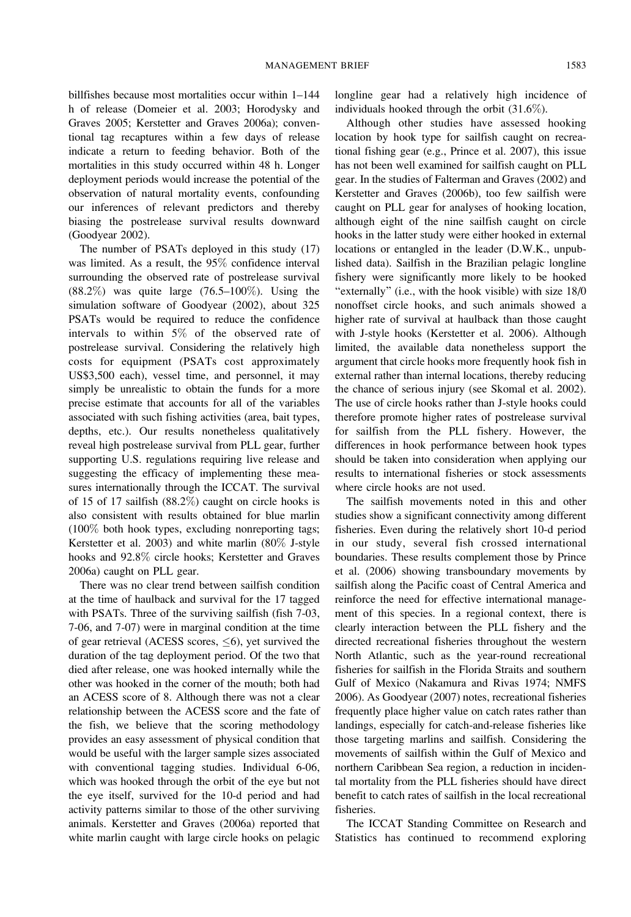billfishes because most mortalities occur within 1–144 h of release (Domeier et al. 2003; Horodysky and Graves 2005; Kerstetter and Graves 2006a); conventional tag recaptures within a few days of release indicate a return to feeding behavior. Both of the mortalities in this study occurred within 48 h. Longer deployment periods would increase the potential of the observation of natural mortality events, confounding our inferences of relevant predictors and thereby biasing the postrelease survival results downward (Goodyear 2002).

The number of PSATs deployed in this study (17) was limited. As a result, the 95% confidence interval surrounding the observed rate of postrelease survival (88.2%) was quite large (76.5–100%). Using the simulation software of Goodyear (2002), about 325 PSATs would be required to reduce the confidence intervals to within 5% of the observed rate of postrelease survival. Considering the relatively high costs for equipment (PSATs cost approximately US\$3,500 each), vessel time, and personnel, it may simply be unrealistic to obtain the funds for a more precise estimate that accounts for all of the variables associated with such fishing activities (area, bait types, depths, etc.). Our results nonetheless qualitatively reveal high postrelease survival from PLL gear, further supporting U.S. regulations requiring live release and suggesting the efficacy of implementing these measures internationally through the ICCAT. The survival of 15 of 17 sailfish (88.2%) caught on circle hooks is also consistent with results obtained for blue marlin (100% both hook types, excluding nonreporting tags; Kerstetter et al. 2003) and white marlin (80% J-style hooks and 92.8% circle hooks; Kerstetter and Graves 2006a) caught on PLL gear.

There was no clear trend between sailfish condition at the time of haulback and survival for the 17 tagged with PSATs. Three of the surviving sailfish (fish 7-03, 7-06, and 7-07) were in marginal condition at the time of gear retrieval (ACESS scores,  $\leq 6$ ), yet survived the duration of the tag deployment period. Of the two that died after release, one was hooked internally while the other was hooked in the corner of the mouth; both had an ACESS score of 8. Although there was not a clear relationship between the ACESS score and the fate of the fish, we believe that the scoring methodology provides an easy assessment of physical condition that would be useful with the larger sample sizes associated with conventional tagging studies. Individual 6-06, which was hooked through the orbit of the eye but not the eye itself, survived for the 10-d period and had activity patterns similar to those of the other surviving animals. Kerstetter and Graves (2006a) reported that white marlin caught with large circle hooks on pelagic longline gear had a relatively high incidence of individuals hooked through the orbit (31.6%).

Although other studies have assessed hooking location by hook type for sailfish caught on recreational fishing gear (e.g., Prince et al. 2007), this issue has not been well examined for sailfish caught on PLL gear. In the studies of Falterman and Graves (2002) and Kerstetter and Graves (2006b), too few sailfish were caught on PLL gear for analyses of hooking location, although eight of the nine sailfish caught on circle hooks in the latter study were either hooked in external locations or entangled in the leader (D.W.K., unpublished data). Sailfish in the Brazilian pelagic longline fishery were significantly more likely to be hooked "externally" (i.e., with the hook visible) with size 18/0 nonoffset circle hooks, and such animals showed a higher rate of survival at haulback than those caught with J-style hooks (Kerstetter et al. 2006). Although limited, the available data nonetheless support the argument that circle hooks more frequently hook fish in external rather than internal locations, thereby reducing the chance of serious injury (see Skomal et al. 2002). The use of circle hooks rather than J-style hooks could therefore promote higher rates of postrelease survival for sailfish from the PLL fishery. However, the differences in hook performance between hook types should be taken into consideration when applying our results to international fisheries or stock assessments where circle hooks are not used.

The sailfish movements noted in this and other studies show a significant connectivity among different fisheries. Even during the relatively short 10-d period in our study, several fish crossed international boundaries. These results complement those by Prince et al. (2006) showing transboundary movements by sailfish along the Pacific coast of Central America and reinforce the need for effective international management of this species. In a regional context, there is clearly interaction between the PLL fishery and the directed recreational fisheries throughout the western North Atlantic, such as the year-round recreational fisheries for sailfish in the Florida Straits and southern Gulf of Mexico (Nakamura and Rivas 1974; NMFS 2006). As Goodyear (2007) notes, recreational fisheries frequently place higher value on catch rates rather than landings, especially for catch-and-release fisheries like those targeting marlins and sailfish. Considering the movements of sailfish within the Gulf of Mexico and northern Caribbean Sea region, a reduction in incidental mortality from the PLL fisheries should have direct benefit to catch rates of sailfish in the local recreational fisheries.

The ICCAT Standing Committee on Research and Statistics has continued to recommend exploring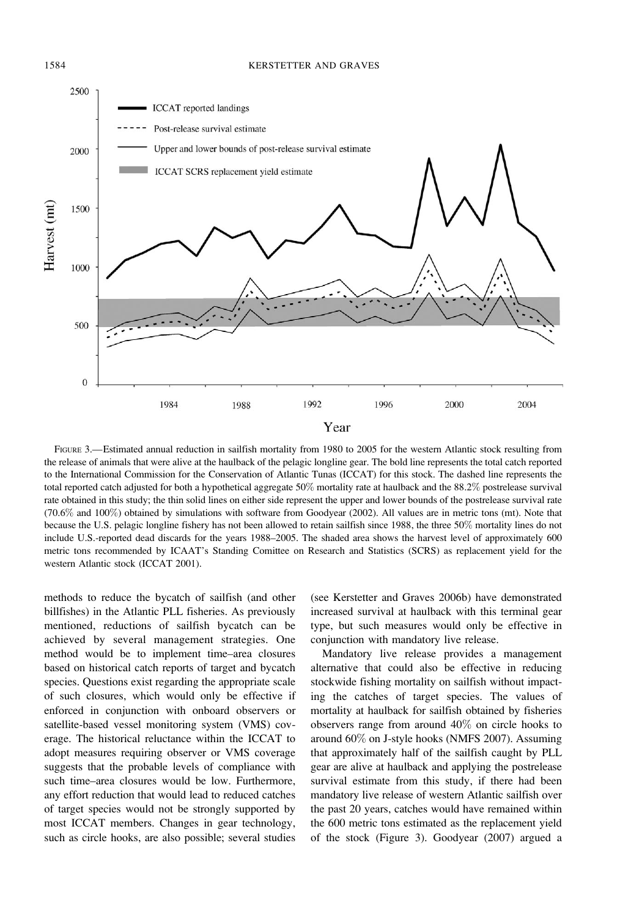

FIGURE 3.—Estimated annual reduction in sailfish mortality from 1980 to 2005 for the western Atlantic stock resulting from the release of animals that were alive at the haulback of the pelagic longline gear. The bold line represents the total catch reported to the International Commission for the Conservation of Atlantic Tunas (ICCAT) for this stock. The dashed line represents the total reported catch adjusted for both a hypothetical aggregate 50% mortality rate at haulback and the 88.2% postrelease survival rate obtained in this study; the thin solid lines on either side represent the upper and lower bounds of the postrelease survival rate (70.6% and 100%) obtained by simulations with software from Goodyear (2002). All values are in metric tons (mt). Note that because the U.S. pelagic longline fishery has not been allowed to retain sailfish since 1988, the three 50% mortality lines do not include U.S.-reported dead discards for the years 1988–2005. The shaded area shows the harvest level of approximately 600 metric tons recommended by ICAAT's Standing Comittee on Research and Statistics (SCRS) as replacement yield for the western Atlantic stock (ICCAT 2001).

methods to reduce the bycatch of sailfish (and other billfishes) in the Atlantic PLL fisheries. As previously mentioned, reductions of sailfish bycatch can be achieved by several management strategies. One method would be to implement time–area closures based on historical catch reports of target and bycatch species. Questions exist regarding the appropriate scale of such closures, which would only be effective if enforced in conjunction with onboard observers or satellite-based vessel monitoring system (VMS) coverage. The historical reluctance within the ICCAT to adopt measures requiring observer or VMS coverage suggests that the probable levels of compliance with such time–area closures would be low. Furthermore, any effort reduction that would lead to reduced catches of target species would not be strongly supported by most ICCAT members. Changes in gear technology, such as circle hooks, are also possible; several studies

(see Kerstetter and Graves 2006b) have demonstrated increased survival at haulback with this terminal gear type, but such measures would only be effective in conjunction with mandatory live release.

Mandatory live release provides a management alternative that could also be effective in reducing stockwide fishing mortality on sailfish without impacting the catches of target species. The values of mortality at haulback for sailfish obtained by fisheries observers range from around 40% on circle hooks to around 60% on J-style hooks (NMFS 2007). Assuming that approximately half of the sailfish caught by PLL gear are alive at haulback and applying the postrelease survival estimate from this study, if there had been mandatory live release of western Atlantic sailfish over the past 20 years, catches would have remained within the 600 metric tons estimated as the replacement yield of the stock (Figure 3). Goodyear (2007) argued a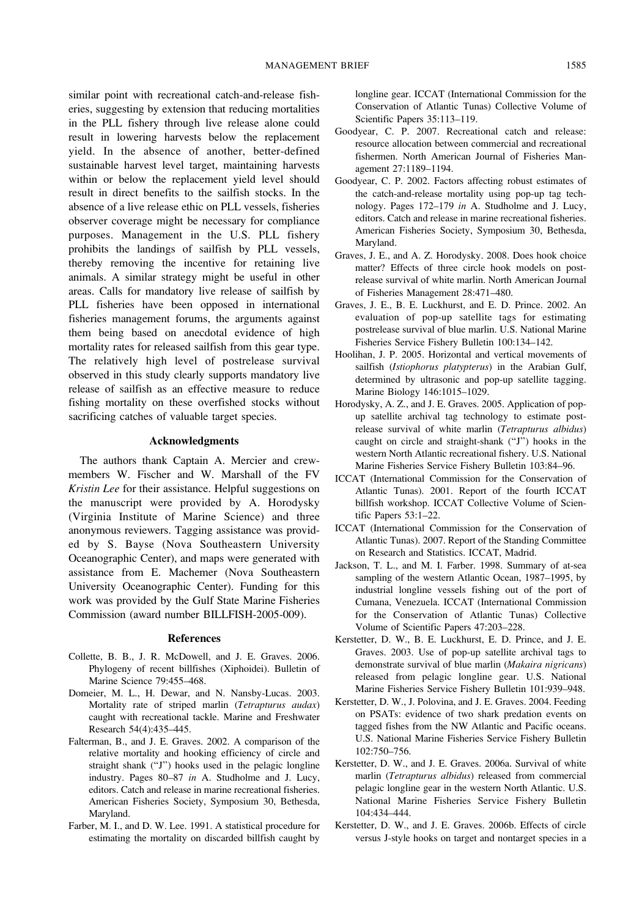similar point with recreational catch-and-release fisheries, suggesting by extension that reducing mortalities in the PLL fishery through live release alone could result in lowering harvests below the replacement yield. In the absence of another, better-defined sustainable harvest level target, maintaining harvests within or below the replacement yield level should result in direct benefits to the sailfish stocks. In the absence of a live release ethic on PLL vessels, fisheries observer coverage might be necessary for compliance purposes. Management in the U.S. PLL fishery prohibits the landings of sailfish by PLL vessels, thereby removing the incentive for retaining live animals. A similar strategy might be useful in other areas. Calls for mandatory live release of sailfish by PLL fisheries have been opposed in international fisheries management forums, the arguments against them being based on anecdotal evidence of high mortality rates for released sailfish from this gear type. The relatively high level of postrelease survival observed in this study clearly supports mandatory live release of sailfish as an effective measure to reduce fishing mortality on these overfished stocks without sacrificing catches of valuable target species.

## Acknowledgments

The authors thank Captain A. Mercier and crewmembers W. Fischer and W. Marshall of the FV Kristin Lee for their assistance. Helpful suggestions on the manuscript were provided by A. Horodysky (Virginia Institute of Marine Science) and three anonymous reviewers. Tagging assistance was provided by S. Bayse (Nova Southeastern University Oceanographic Center), and maps were generated with assistance from E. Machemer (Nova Southeastern University Oceanographic Center). Funding for this work was provided by the Gulf State Marine Fisheries Commission (award number BILLFISH-2005-009).

#### References

- Collette, B. B., J. R. McDowell, and J. E. Graves. 2006. Phylogeny of recent billfishes (Xiphoidei). Bulletin of Marine Science 79:455–468.
- Domeier, M. L., H. Dewar, and N. Nansby-Lucas. 2003. Mortality rate of striped marlin (Tetrapturus audax) caught with recreational tackle. Marine and Freshwater Research 54(4):435–445.
- Falterman, B., and J. E. Graves. 2002. A comparison of the relative mortality and hooking efficiency of circle and straight shank ("J") hooks used in the pelagic longline industry. Pages 80–87 in A. Studholme and J. Lucy, editors. Catch and release in marine recreational fisheries. American Fisheries Society, Symposium 30, Bethesda, Maryland.
- Farber, M. I., and D. W. Lee. 1991. A statistical procedure for estimating the mortality on discarded billfish caught by

longline gear. ICCAT (International Commission for the Conservation of Atlantic Tunas) Collective Volume of Scientific Papers 35:113–119.

- Goodyear, C. P. 2007. Recreational catch and release: resource allocation between commercial and recreational fishermen. North American Journal of Fisheries Management 27:1189–1194.
- Goodyear, C. P. 2002. Factors affecting robust estimates of the catch-and-release mortality using pop-up tag technology. Pages 172–179 in A. Studholme and J. Lucy, editors. Catch and release in marine recreational fisheries. American Fisheries Society, Symposium 30, Bethesda, Maryland.
- Graves, J. E., and A. Z. Horodysky. 2008. Does hook choice matter? Effects of three circle hook models on postrelease survival of white marlin. North American Journal of Fisheries Management 28:471–480.
- Graves, J. E., B. E. Luckhurst, and E. D. Prince. 2002. An evaluation of pop-up satellite tags for estimating postrelease survival of blue marlin. U.S. National Marine Fisheries Service Fishery Bulletin 100:134–142.
- Hoolihan, J. P. 2005. Horizontal and vertical movements of sailfish (Istiophorus platypterus) in the Arabian Gulf, determined by ultrasonic and pop-up satellite tagging. Marine Biology 146:1015–1029.
- Horodysky, A. Z., and J. E. Graves. 2005. Application of popup satellite archival tag technology to estimate postrelease survival of white marlin (Tetrapturus albidus) caught on circle and straight-shank (''J'') hooks in the western North Atlantic recreational fishery. U.S. National Marine Fisheries Service Fishery Bulletin 103:84–96.
- ICCAT (International Commission for the Conservation of Atlantic Tunas). 2001. Report of the fourth ICCAT billfish workshop. ICCAT Collective Volume of Scientific Papers 53:1–22.
- ICCAT (International Commission for the Conservation of Atlantic Tunas). 2007. Report of the Standing Committee on Research and Statistics. ICCAT, Madrid.
- Jackson, T. L., and M. I. Farber. 1998. Summary of at-sea sampling of the western Atlantic Ocean, 1987–1995, by industrial longline vessels fishing out of the port of Cumana, Venezuela. ICCAT (International Commission for the Conservation of Atlantic Tunas) Collective Volume of Scientific Papers 47:203–228.
- Kerstetter, D. W., B. E. Luckhurst, E. D. Prince, and J. E. Graves. 2003. Use of pop-up satellite archival tags to demonstrate survival of blue marlin (Makaira nigricans) released from pelagic longline gear. U.S. National Marine Fisheries Service Fishery Bulletin 101:939–948.
- Kerstetter, D. W., J. Polovina, and J. E. Graves. 2004. Feeding on PSATs: evidence of two shark predation events on tagged fishes from the NW Atlantic and Pacific oceans. U.S. National Marine Fisheries Service Fishery Bulletin 102:750–756.
- Kerstetter, D. W., and J. E. Graves. 2006a. Survival of white marlin (Tetrapturus albidus) released from commercial pelagic longline gear in the western North Atlantic. U.S. National Marine Fisheries Service Fishery Bulletin 104:434–444.
- Kerstetter, D. W., and J. E. Graves. 2006b. Effects of circle versus J-style hooks on target and nontarget species in a